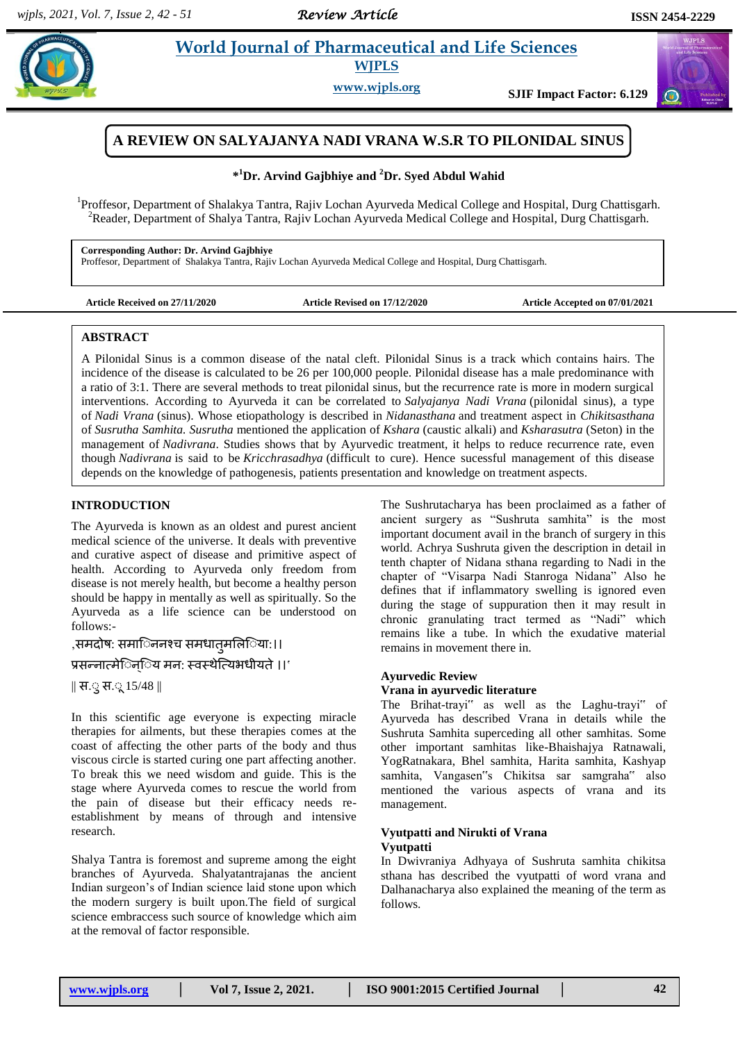## *Review Article*

## **Arring and** *Eife Sciences* **WJPLS**

**www.wjpls.org SJIF Impact Factor: 6.129**



## **A REVIEW ON SALYAJANYA NADI VRANA W.S.R TO PILONIDAL SINUS**

## **\* <sup>1</sup>Dr. Arvind Gajbhiye and <sup>2</sup>Dr. Syed Abdul Wahid**

<sup>1</sup>Proffesor, Department of Shalakya Tantra, Rajiv Lochan Ayurveda Medical College and Hospital, Durg Chattisgarh. <sup>2</sup>Reader, Department of Shalya Tantra, Rajiv Lochan Ayurveda Medical College and Hospital, Durg Chattisgarh.

**Corresponding Author: Dr. Arvind Gajbhiye**

Proffesor, Department of Shalakya Tantra, Rajiv Lochan Ayurveda Medical College and Hospital, Durg Chattisgarh.

**Article Received on 27/11/2020 Article Revised on 17/12/2020 Article Accepted on 07/01/2021**

## **ABSTRACT**

A Pilonidal Sinus is a common disease of the natal cleft. Pilonidal Sinus is a track which contains hairs. The incidence of the disease is calculated to be 26 per 100,000 people. Pilonidal disease has a male predominance with a ratio of 3:1. There are several methods to treat pilonidal sinus, but the recurrence rate is more in modern surgical interventions. According to Ayurveda it can be correlated to *Salyajanya Nadi Vrana* (pilonidal sinus), a type of *Nadi Vrana* (sinus). Whose etiopathology is described in *Nidanasthana* and treatment aspect in *Chikitsasthana* of *Susrutha Samhita. Susrutha* mentioned the application of *Kshara* (caustic alkali) and *Ksharasutra* (Seton) in the management of *Nadivrana*. Studies shows that by Ayurvedic treatment, it helps to reduce recurrence rate, even though *Nadivrana* is said to be *Kricchrasadhya* (difficult to cure). Hence sucessful management of this disease depends on the knowledge of pathogenesis, patients presentation and knowledge on treatment aspects.

## **INTRODUCTION**

The Ayurveda is known as an oldest and purest ancient medical science of the universe. It deals with preventive and curative aspect of disease and primitive aspect of health. According to Ayurveda only freedom from disease is not merely health, but become a healthy person should be happy in mentally as well as spiritually. So the Ayurveda as a life science can be understood on follows:-

,समदोष: समािननश्च समधातृमलििया:।।

प्रसन्नात्मेिन्िय मन: स्वस्थेत्यिभधीयते ।।'

|| स.् स.् 15/48 ||

In this scientific age everyone is expecting miracle therapies for ailments, but these therapies comes at the coast of affecting the other parts of the body and thus viscous circle is started curing one part affecting another. To break this we need wisdom and guide. This is the stage where Ayurveda comes to rescue the world from the pain of disease but their efficacy needs reestablishment by means of through and intensive research.

Shalya Tantra is foremost and supreme among the eight branches of Ayurveda. Shalyatantrajanas the ancient Indian surgeon"s of Indian science laid stone upon which the modern surgery is built upon.The field of surgical science embraccess such source of knowledge which aim at the removal of factor responsible.

The Sushrutacharya has been proclaimed as a father of ancient surgery as "Sushruta samhita" is the most important document avail in the branch of surgery in this world. Achrya Sushruta given the description in detail in tenth chapter of Nidana sthana regarding to Nadi in the chapter of "Visarpa Nadi Stanroga Nidana" Also he defines that if inflammatory swelling is ignored even during the stage of suppuration then it may result in chronic granulating tract termed as "Nadi" which remains like a tube. In which the exudative material remains in movement there in.

## **Ayurvedic Review**

#### **Vrana in ayurvedic literature**

The Brihat-trayi" as well as the Laghu-trayi" of Ayurveda has described Vrana in details while the Sushruta Samhita superceding all other samhitas. Some other important samhitas like-Bhaishajya Ratnawali, YogRatnakara, Bhel samhita, Harita samhita, Kashyap samhita, Vangasen"s Chikitsa sar samgraha" also mentioned the various aspects of vrana and its management.

## **Vyutpatti and Nirukti of Vrana Vyutpatti**

In Dwivraniya Adhyaya of Sushruta samhita chikitsa sthana has described the vyutpatti of word vrana and Dalhanacharya also explained the meaning of the term as follows.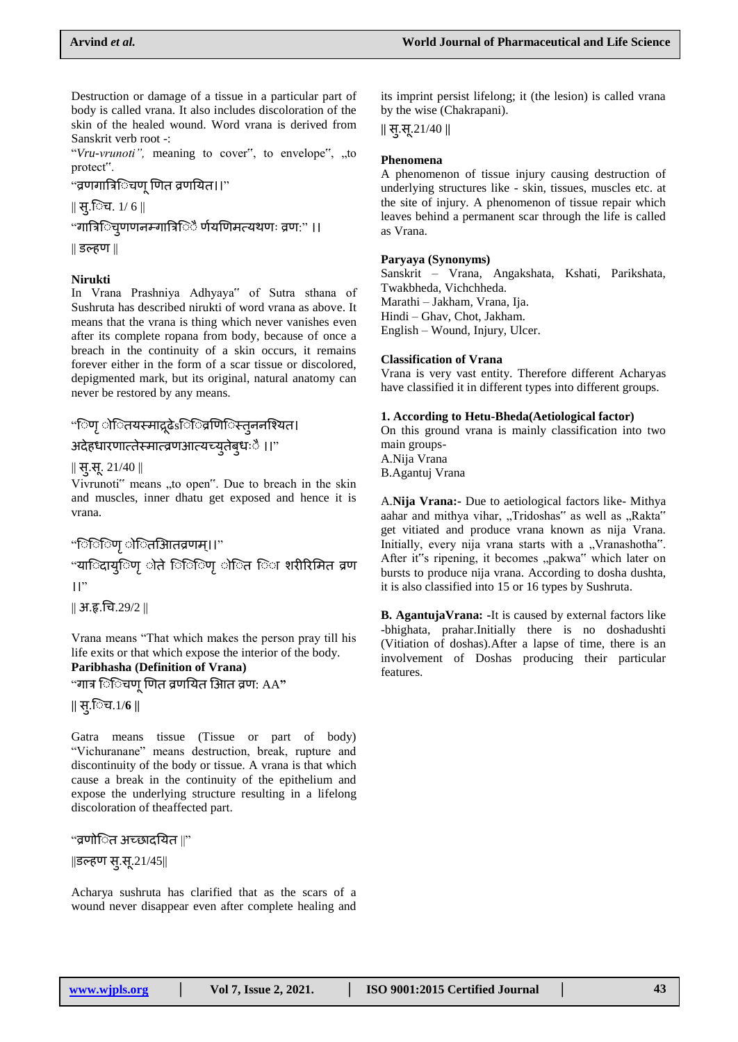Destruction or damage of a tissue in a particular part of body is called vrana. It also includes discoloration of the skin of the healed wound. Word vrana is derived from Sanskrit verb root -:

"*Vru-vrunoti"*, meaning to cover", to envelope", "to protect".

## "व्रणगात्रििचण् णित व्रणयित।।"

 $\parallel$  स्.िच. 1/ 6  $\parallel$ 

"गात्रििच्णणनम्गात्रििे र्णयणिमत्यथणः व्रण:" ।।

|| डल्हण ||

## **Nirukti**

In Vrana Prashniya Adhyaya" of Sutra sthana of Sushruta has described nirukti of word vrana as above. It means that the vrana is thing which never vanishes even after its complete ropana from body, because of once a breach in the continuity of a skin occurs, it remains forever either in the form of a scar tissue or discolored, depigmented mark, but its original, natural anatomy can never be restored by any means.

## "िणृ ोितयस्माद्रूढेऽिि व्रणििस्तुननश्यित।

### अदेहधारणात्तेस्मात्व्रणआत्यच्यूतेब्धःै ।।"

|| सु.स. 21/40 ||

Vivrunoti" means "to open". Due to breach in the skin and muscles, inner dhatu get exposed and hence it is vrana.

## "िििणृ ोितआितव्रणम्।।"

"यािदाय्िण ोते िििण़ ोित िा शरीरिमित व्रण  $\mathsf{II}$ "

|| अ.रृ.चच.29/2 ||

Vrana means "That which makes the person pray till his life exits or that which expose the interior of the body. **Paribhasha (Definition of Vrana)**

"गाि ि ि चण णणत व्रणययत िआत व्रण: AA**"**

**||** स.ुि च.1/**6 ||**

Gatra means tissue (Tissue or part of body) "Vichuranane" means destruction, break, rupture and discontinuity of the body or tissue. A vrana is that which cause a break in the continuity of the epithelium and expose the underlying structure resulting in a lifelong discoloration of theaffected part.

"व्रणोि त अच्छादययत ||"

 $\|\vec{3} \cdot \vec{B} \cdot \vec{B} - \vec{B} \cdot \vec{B} \|$ 

Acharya sushruta has clarified that as the scars of a wound never disappear even after complete healing and its imprint persist lifelong; it (the lesion) is called vrana by the wise (Chakrapani).

**||** स.ुस .21/40 **||**

#### **Phenomena**

A phenomenon of tissue injury causing destruction of underlying structures like - skin, tissues, muscles etc. at the site of injury. A phenomenon of tissue repair which leaves behind a permanent scar through the life is called as Vrana.

#### **Paryaya (Synonyms)**

Sanskrit – Vrana, Angakshata, Kshati, Parikshata, Twakbheda, Vichchheda. Marathi – Jakham, Vrana, Ija. Hindi – Ghav, Chot, Jakham. English – Wound, Injury, Ulcer.

### **Classification of Vrana**

Vrana is very vast entity. Therefore different Acharyas have classified it in different types into different groups.

## **1. According to Hetu-Bheda(Aetiological factor)**

On this ground vrana is mainly classification into two main groups-

A.Nija Vrana B.Agantuj Vrana

A.**Nija Vrana:-** Due to aetiological factors like- Mithya aahar and mithya vihar, "Tridoshas" as well as "Rakta" get vitiated and produce vrana known as nija Vrana. Initially, every nija vrana starts with a "Vranashotha". After it"s ripening, it becomes "pakwa" which later on bursts to produce nija vrana. According to dosha dushta, it is also classified into 15 or 16 types by Sushruta.

**B. AgantujaVrana: -**It is caused by external factors like -bhighata, prahar.Initially there is no doshadushti (Vitiation of doshas).After a lapse of time, there is an involvement of Doshas producing their particular features.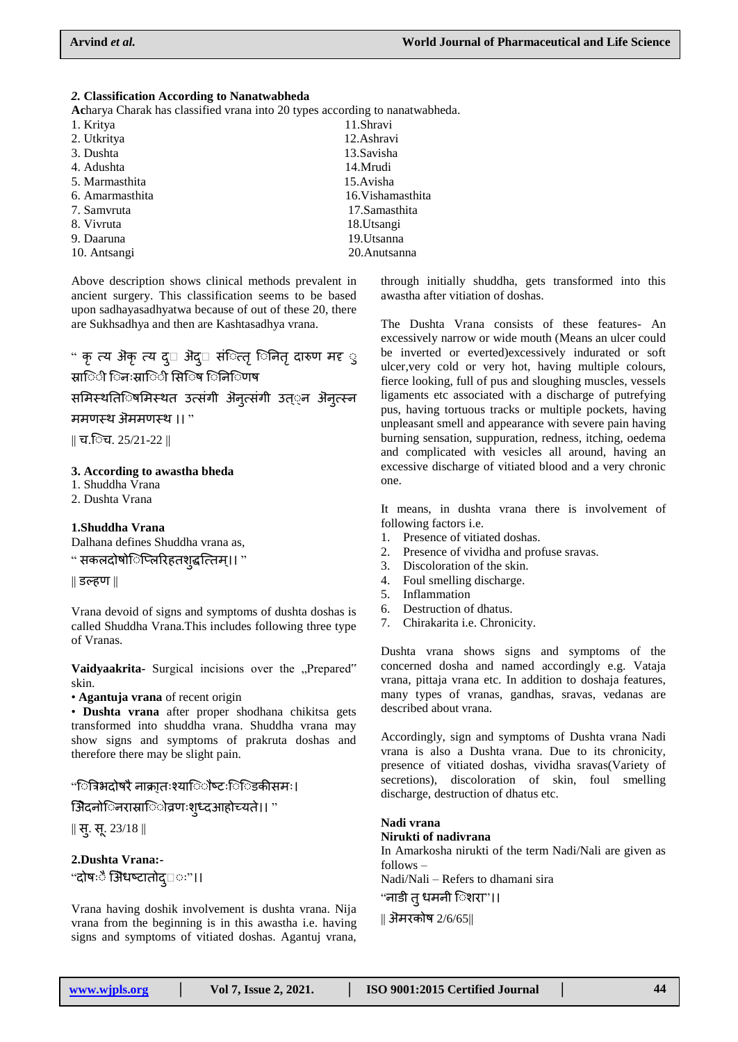#### *2.* **Classification According to Nanatwabheda**

**Ac**harya Charak has classified vrana into 20 types according to nanatwabheda.

| 1. Kritya       | 11.Shravi         |
|-----------------|-------------------|
| 2. Utkritya     | 12. Ashravi       |
| 3. Dushta       | 13. Savisha       |
| 4. Adushta      | 14.Mrudi          |
| 5. Marmasthita  | 15.Avisha         |
| 6. Amarmasthita | 16. Vishamasthita |
| 7. Samvruta     | 17. Samasthita    |
| 8. Vivruta      | 18. Utsangi       |
| 9. Daaruna      | 19. Utsanna       |
| 10. Antsangi    | 20. Anutsanna     |
|                 |                   |

Above description shows clinical methods prevalent in ancient surgery. This classification seems to be based upon sadhayasadhyatwa because of out of these 20, there are Sukhsadhya and then are Kashtasadhya vrana.

## " कृ त्य अैकृ त्य द् $\Box$  अैद् $\Box$  संित्तृ िनितृ दारुण मद्द ु स्रा**िी िनःस्रा**िी सि**िष िनि**िणष

समिस्थतििषमिस्थत उत्संगी ऄनुत्संगी उत््न ऄनुत्स्न

## ममणस्थ ऄममणस्थ ।। "

 $\parallel$  च.िच. 25/21-22  $\parallel$ 

#### **3. According to awastha bheda**

- 1. Shuddha Vrana
- 2. Dushta Vrana

### **1.Shuddha Vrana**

Dalhana defines Shuddha vrana as,

" सकलदोषोिप्लिरिहतशुद्धत्तिम्।। "

|| डल्हण ||

Vrana devoid of signs and symptoms of dushta doshas is called Shuddha Vrana.This includes following three type of Vranas.

Vaidyaakrita- Surgical incisions over the "Prepared" skin.

• **Agantuja vrana** of recent origin

• **Dushta vrana** after proper shodhana chikitsa gets transformed into shuddha vrana. Shuddha vrana may show signs and symptoms of prakruta doshas and therefore there may be slight pain.

## "ित्रिभदोषरै नाक्रा्तःश्यािौष्टःि िडकीसमः।

िऄेदनोि नरास्राि ोव्रणःशुध्दआहोच्यत।े। "

 $\parallel$  सु. सू. 23/18  $\parallel$ 

**2.Dushta Vrana:-** "दोषःै औिधष्टातोद्□ः"।।

Vrana having doshik involvement is dushta vrana. Nija vrana from the beginning is in this awastha i.e. having signs and symptoms of vitiated doshas. Agantuj vrana, through initially shuddha, gets transformed into this awastha after vitiation of doshas.

The Dushta Vrana consists of these features- An excessively narrow or wide mouth (Means an ulcer could be inverted or everted)excessively indurated or soft ulcer,very cold or very hot, having multiple colours, fierce looking, full of pus and sloughing muscles, vessels ligaments etc associated with a discharge of putrefying pus, having tortuous tracks or multiple pockets, having unpleasant smell and appearance with severe pain having burning sensation, suppuration, redness, itching, oedema and complicated with vesicles all around, having an excessive discharge of vitiated blood and a very chronic one.

It means, in dushta vrana there is involvement of following factors i.e.

- 1. Presence of vitiated doshas.
- 2. Presence of vividha and profuse sravas.
- 3. Discoloration of the skin.
- 4. Foul smelling discharge.
- 5. Inflammation
- 6. Destruction of dhatus.
- 7. Chirakarita i.e. Chronicity.

Dushta vrana shows signs and symptoms of the concerned dosha and named accordingly e.g. Vataja vrana, pittaja vrana etc. In addition to doshaja features, many types of vranas, gandhas, sravas, vedanas are described about vrana.

Accordingly, sign and symptoms of Dushta vrana Nadi vrana is also a Dushta vrana. Due to its chronicity, presence of vitiated doshas, vividha sravas(Variety of secretions), discoloration of skin, foul smelling discharge, destruction of dhatus etc.

#### **Nadi vrana Nirukti of nadivrana**

In Amarkosha nirukti of the term Nadi/Nali are given as follows –

Nadi/Nali – Refers to dhamani sira

"नाडी त् धमनी िशरा"।।

|| ऄमरकोष 2/6/65||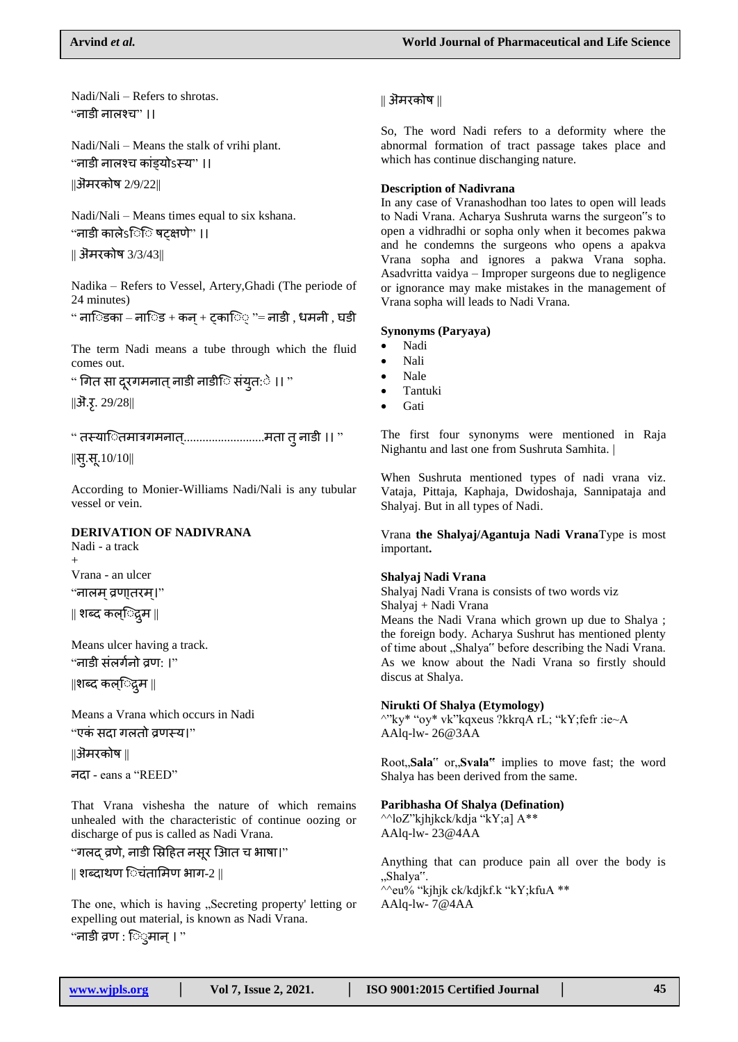Nadi/Nali – Refers to shrotas. "नाडी नाऱश्च" ।।

Nadi/Nali – Means the stalk of vrihi plant. "नाडी नाऱश्च कांड्योऽस्य" ।। ||ऄमरकोष 2/9/22||

Nadi/Nali – Means times equal to six kshana.  $\lq$  नाडी कालेऽिि षटक्षणे" ।।

|| ऄमरकोष 3/3/43||

Nadika – Refers to Vessel, Artery,Ghadi (The periode of 24 minutes)

" नािडका – नािड + कन + टकाि $\circ$  "= नाडी , धमनी , घडी

The term Nadi means a tube through which the fluid comes out.

" गित सा दुरगमनात् नाडी नाडीि संयुत:े ।। "  $\|\overline{\mathbf{3}}.\overline{\mathbf{5}}. 29/28\|$ 

" तस्याितमात्रगमनात्...........................मता त् नाडी ।। "

 $\|$ स्.सू. 10/10||

According to Monier-Williams Nadi/Nali is any tubular vessel or vein.

## **DERIVATION OF NADIVRANA**

Nadi - a track + Vrana - an ulcer "नाऱम ्व्रणा्तरम।्" || शब्द कऱि् द्रमु ||

Means ulcer having a track.  $\lq$ नाडी संतर्गनो वण: ।"

||शब्द कऱि् द्रमु ||

Means a Vrana which occurs in Nadi "एकं सदा गऱतो व्रणस्य।"

||ऄमरकोष ||

नदा - eans a "REED"

That Vrana vishesha the nature of which remains unhealed with the characteristic of continue oozing or discharge of pus is called as Nadi Vrana.

"गलद् व्रणे, नाडी स्रिहित नसूर आित च भाषा।"

|| शब्दाथण िचंतामिण भाग-2 ||

The one, which is having "Secreting property' letting or expelling out material, is known as Nadi Vrana.

"नाडी व्रण : ि्मान् । "

### || ऄमरकोष ||

So, The word Nadi refers to a deformity where the abnormal formation of tract passage takes place and which has continue dischanging nature.

#### **Description of Nadivrana**

In any case of Vranashodhan too lates to open will leads to Nadi Vrana. Acharya Sushruta warns the surgeon"s to open a vidhradhi or sopha only when it becomes pakwa and he condemns the surgeons who opens a apakva Vrana sopha and ignores a pakwa Vrana sopha. Asadvritta vaidya – Improper surgeons due to negligence or ignorance may make mistakes in the management of Vrana sopha will leads to Nadi Vrana.

## **Synonyms (Paryaya)**

- Nadi
- Nali
- Nale
- Tantuki
- Gati

The first four synonyms were mentioned in Raja Nighantu and last one from Sushruta Samhita. |

When Sushruta mentioned types of nadi vrana viz. Vataja, Pittaja, Kaphaja, Dwidoshaja, Sannipataja and Shalyaj. But in all types of Nadi.

Vrana **the Shalyaj/Agantuja Nadi Vrana**Type is most important**.**

#### **Shalyaj Nadi Vrana**

Shalyaj Nadi Vrana is consists of two words viz Shalyaj + Nadi Vrana Means the Nadi Vrana which grown up due to Shalya ;

the foreign body. Acharya Sushrut has mentioned plenty of time about "Shalya" before describing the Nadi Vrana. As we know about the Nadi Vrana so firstly should discus at Shalya.

## **Nirukti Of Shalya (Etymology)**

^"ky\* "oy\* vk"kqxeus ?kkrqA rL; "kY;fefr :ie~A AAlq-lw- 26@3AA

Root,,Sala" or,,Svala" implies to move fast; the word Shalya has been derived from the same.

## **Paribhasha Of Shalya (Defination)**

^^loZ"kjhjkck/kdja "kY;a] A\*\* AAlq-lw- 23@4AA

Anything that can produce pain all over the body is "Shalya". ^^eu% "kjhjk ck/kdjkf.k "kY;kfuA \*\* AAlq-lw- 7@4AA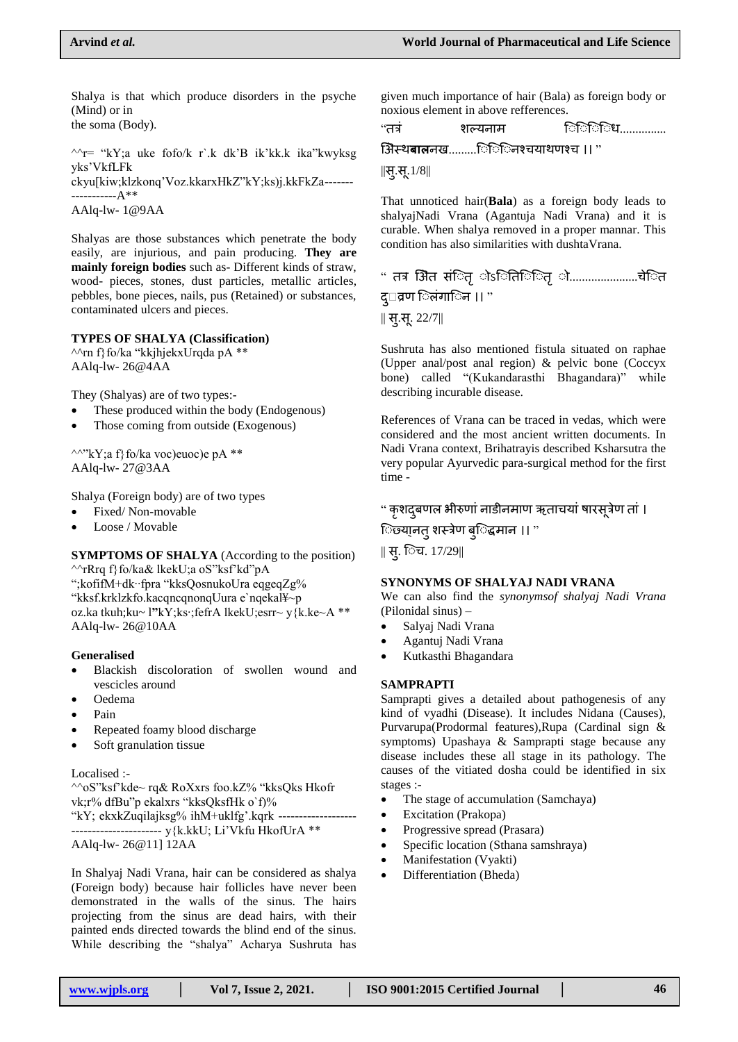Shalya is that which produce disorders in the psyche (Mind) or in

the soma (Body).

 $\gamma$ r= "kY;a uke fofo/k r`.k dk'B ik'kk.k ika"kwyksg yks"VkfLFk

ckyu[kiw;klzkonq"Voz.kkarxHkZ"kY;ks)j.kkFkZa------- -----------A\*\*

AAlq-lw- 1@9AA

Shalyas are those substances which penetrate the body easily, are injurious, and pain producing. **They are mainly foreign bodies** such as- Different kinds of straw, wood- pieces, stones, dust particles, metallic articles, pebbles, bone pieces, nails, pus (Retained) or substances, contaminated ulcers and pieces.

#### **TYPES OF SHALYA (Classification)**

^^rn f}fo/ka "kkjhjekxUrqda pA \*\* AAlq-lw- 26@4AA

They (Shalyas) are of two types:-

- These produced within the body (Endogenous)
- Those coming from outside (Exogenous)

 $\wedge^{\wedge}$ "kY;a f}fo/ka voc)euoc)e pA \*\* AAlq-lw- 27@3AA

Shalya (Foreign body) are of two types

- Fixed/ Non-movable
- Loose / Movable

**SYMPTOMS OF SHALYA** (According to the position) ^^rRrq f}fo/ka& lkekU;a oS"ksf"kd"pA ";kofifM+dk∙∙fpra "kksQosnukoUra eqgeqZg% "kksf.krklzkfo.kacqncqnonqUura e`nqekal¥~p oz.ka tkuh;ku~ l**"**kY;ks∙;fefrA lkekU;esrr~ y{k.ke~A \*\* AAlq-lw- 26@10AA

#### **Generalised**

- Blackish discoloration of swollen wound and vescicles around
- Oedema
- Pain
- Repeated foamy blood discharge
- Soft granulation tissue

#### Localised :-

^^oS"ksf"kde~ rq& RoXxrs foo.kZ% "kksQks Hkofr vk;r% dfBu"p ekalxrs "kksQksfHk o`f)% "kY; ekxkZuqilajksg% ihM+uklfg".kqrk ------------------- ---------------------- y{k.kkU; Li"Vkfu HkofUrA \*\*

AAlq-lw- 26@11] 12AA

In Shalyaj Nadi Vrana, hair can be considered as shalya (Foreign body) because hair follicles have never been demonstrated in the walls of the sinus. The hairs projecting from the sinus are dead hairs, with their painted ends directed towards the blind end of the sinus. While describing the "shalya" Acharya Sushruta has

given much importance of hair (Bala) as foreign body or noxious element in above refferences.

| "तत्र | शल्यनाम | াৌীীীখ……………… |
|-------|---------|--------------|
|       |         |              |

िऄस्थ**बाल**नख.........ि ि ि नश्चयाथणश्च ।। "

 $\|\mathbf{H}.\mathbf{H}.1/8\|$ 

That unnoticed hair(**Bala**) as a foreign body leads to shalyajNadi Vrana (Agantuja Nadi Vrana) and it is curable. When shalya removed in a proper mannar. This condition has also similarities with dushtaVrana.

" तत्र अैित संितृ ोऽितििितृ ो.....................चेित द्□व्रण िलंगािन ।। "

 $\parallel$  स्.स्. 22/7 $\parallel$ 

Sushruta has also mentioned fistula situated on raphae (Upper anal/post anal region) & pelvic bone (Coccyx bone) called "(Kukandarasthi Bhagandara)" while describing incurable disease.

References of Vrana can be traced in vedas, which were considered and the most ancient written documents. In Nadi Vrana context, Brihatrayis described Ksharsutra the very popular Ayurvedic para-surgical method for the first time -

" कृशद्बणल भीरुणां नाडीनमाण ऋताचयां षारसूत्रेण तां । िछ्या्नत् शस्त्रेण ब्िद्धमान ।। "

|| सु. ि च. 17/29||

#### **SYNONYMS OF SHALYAJ NADI VRANA**

We can also find the *synonymsof shalyaj Nadi Vrana*  (Pilonidal sinus) –

- Salyaj Nadi Vrana
- Agantuj Nadi Vrana
- Kutkasthi Bhagandara

#### **SAMPRAPTI**

Samprapti gives a detailed about pathogenesis of any kind of vyadhi (Disease). It includes Nidana (Causes), Purvarupa(Prodormal features),Rupa (Cardinal sign & symptoms) Upashaya & Samprapti stage because any disease includes these all stage in its pathology. The causes of the vitiated dosha could be identified in six stages :-

- The stage of accumulation (Samchaya)
- Excitation (Prakopa)
- Progressive spread (Prasara)
- Specific location (Sthana samshraya)
- Manifestation (Vyakti)
- Differentiation (Bheda)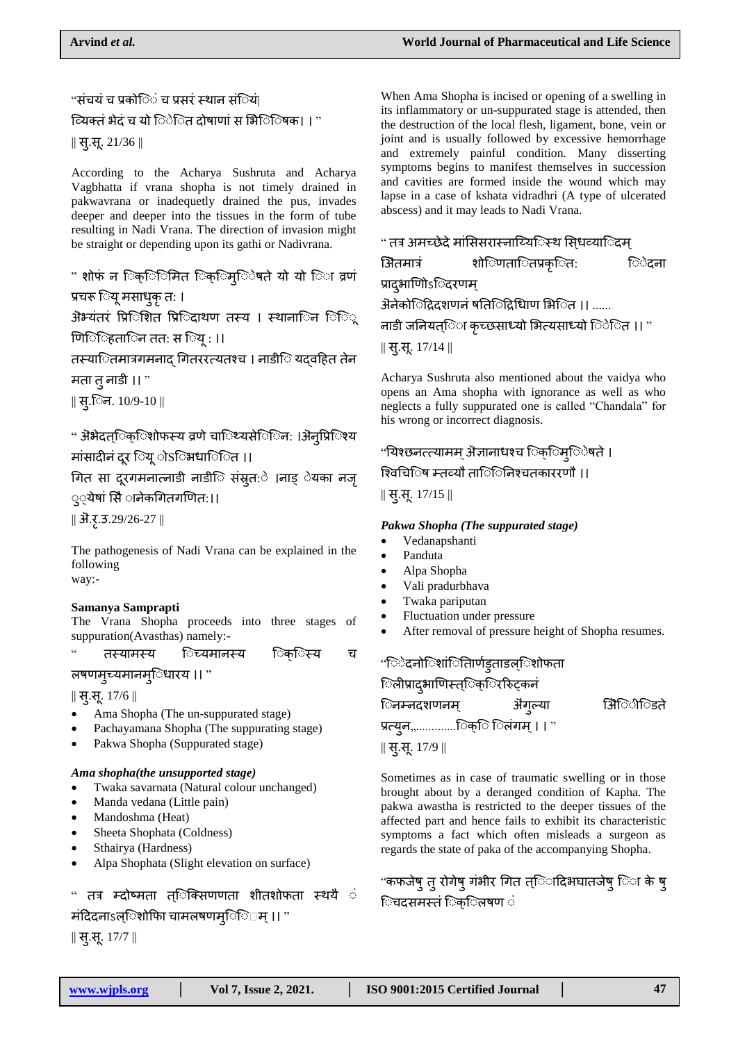"संचयं च प्रको**ि**ं च प्रसरं स्थान संियं|

ियक्तं भेदं च यो िेित दोषाणां स भिेि षिक। । "

|| सु.स. 21/36 ||

According to the Acharya Sushruta and Acharya Vagbhatta if vrana shopha is not timely drained in pakwavrana or inadequetly drained the pus, invades deeper and deeper into the tissues in the form of tube resulting in Nadi Vrana. The direction of invasion might be straight or depending upon its gathi or Nadivrana.

" शोफं न िक्िनिति िक्िम्िेषते यो यो िा व्रणं प्रचरू ियू मसाधुकृ त: ।

ऄ<sup>ॶ</sup>यंतरं प्रििशित प्रििदाथण तस्य । स्थाना**िन ि**ूि णििहितािन ततः स $\mathbb{C}$ य् : ।।

तस्याितमात्रगमनाद गितररत्यतश्च । नाडीि यदवहित तेन

मता तुनाडी ।। "

 $\parallel$  सृ.िन. 10/9-10  $\parallel$ 

" ऄॆभेदत्िक्िशोफस्य व्रणे चािथ्यसेििन: ।ऄऺनृप्रििश्य मांसादीनं दर िय ोSिभधािित ।।

चगत सा दर गमनात्नाडी नाडीि संस्रुत: े ।नाड् ेयका नजृ ््येषां सिै ानेकगितगणित:।।

 $\|$  ऄ.ऱ.3.29/26-27  $\|$ 

The pathogenesis of Nadi Vrana can be explained in the following way:-

## **Samanya Samprapti**

The Vrana Shopha proceeds into three stages of suppuration(Avasthas) namely:-

" तस्यामस्य िच्यमानस्य िक**ि**स्य च

त्रषणमुच्यमानम्िधारय ।। "

|| सु.स. 17/6 ||

- Ama Shopha (The un-suppurated stage)
- Pachayamana Shopha (The suppurating stage)
- Pakwa Shopha (Suppurated stage)

## *Ama shopha(the unsupported stage)*

- Twaka savarnata (Natural colour unchanged)
- Manda vedana (Little pain)
- Mandoshma (Heat)
- Sheeta Shophata (Coldness)
- Sthairya (Hardness)
- Alpa Shophata (Slight elevation on surface)

" तत्र म्दोष्मता त्िक्सिणणता शीतशोफता स्थयै ं मंदिदनाऽल्िशोफिा चामलषणम्िि म् ।। "

|| सु.स. 17/7 ||

When Ama Shopha is incised or opening of a swelling in its inflammatory or un-suppurated stage is attended, then the destruction of the local flesh, ligament, bone, vein or joint and is usually followed by excessive hemorrhage and extremely painful condition. Many disserting symptoms begins to manifest themselves in succession and cavities are formed inside the wound which may lapse in a case of kshata vidradhri (A type of ulcerated abscess) and it may leads to Nadi Vrana.

# " तत्र अमच्छेदे मांसिसरास्नाय्यििस्थ सिधव्या**िदम** िऄतमािं शोि णताि तप्रकृि त: ि ेदना प्रादुभाणोिऽिदरणम् ऄऺनेकोिद्रिदशणनं षतििद्रिधािण भिित ।। ...... नाडी जनियत्िा कृच्छसाध्यो भित्यसाध्यो िेित ।। "  $\parallel$  स्.स्. 17/14  $\parallel$

Acharya Sushruta also mentioned about the vaidya who opens an Ama shopha with ignorance as well as who neglects a fully suppurated one is called "Chandala" for his wrong or incorrect diagnosis.

## "यिश्छनत्त्यामम् अॆज्ञानाधश्च िक्िम्िेषते ।

## श्विचििष म्तव्यौ ताि िनिश्चतकाररणौ ।।

 $\parallel$  सु.सू. 17/15  $\parallel$ 

## *Pakwa Shopha (The suppurated stage)*

- Vedanapshanti
- Panduta
- Alpa Shopha
- Vali pradurbhava
- Twaka pariputan
- Fluctuation under pressure
- After removal of pressure height of Shopha resumes.

## "िेदनोिशांितािर्णङ्ताडल्ेशोफता िलीप्रादभाणिस्त**िक**िररिटकनं

िनम्नदशणनम् ऄ॑ग्ल्या ऄिेिडिते प्रत्युन,,............िक्ि िलंगम् । । "

 $\parallel$  सु.सू. 17/9  $\parallel$ 

Sometimes as in case of traumatic swelling or in those brought about by a deranged condition of Kapha. The pakwa awastha is restricted to the deeper tissues of the affected part and hence fails to exhibit its characteristic symptoms a fact which often misleads a surgeon as regards the state of paka of the accompanying Shopha.

"कफजेषु तु रोगेषु गंभीर गित त्िादिभघातजेषु िा के षु िचदसमस्तं िक**िलषण** ं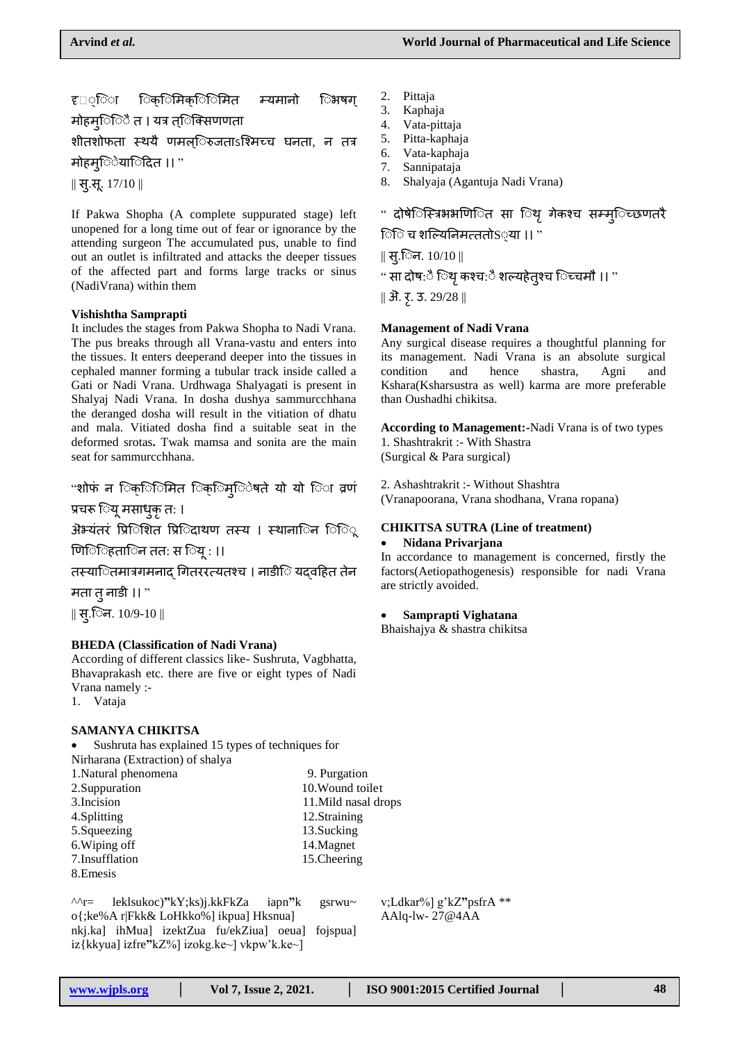## ह⊡्िा िक्िमिक्िमित म्यमानो िभषग् मोहम**ि**ें त । यत्र त**िक्सिण**णता

शीतशोफता स्थयै णमल**िरुजताऽश्मिच्च घनता, न तत्र** 

मोहम्ियािदित ।। "

|| सु.स. 17/10 ||

If Pakwa Shopha (A complete suppurated stage) left unopened for a long time out of fear or ignorance by the attending surgeon The accumulated pus, unable to find out an outlet is infiltrated and attacks the deeper tissues of the affected part and forms large tracks or sinus (NadiVrana) within them

#### **Vishishtha Samprapti**

It includes the stages from Pakwa Shopha to Nadi Vrana. The pus breaks through all Vrana-vastu and enters into the tissues. It enters deeperand deeper into the tissues in cephaled manner forming a tubular track inside called a Gati or Nadi Vrana. Urdhwaga Shalyagati is present in Shalyaj Nadi Vrana. In dosha dushya sammurcchhana the deranged dosha will result in the vitiation of dhatu and mala. Vitiated dosha find a suitable seat in the deformed srotas**.** Twak mamsa and sonita are the main seat for sammurcchhana.

"शोफं न िक्िनित िक्िम्िेषते यो यो िा व्रणं

प्रचरू ियू मसाधुकृ त: ।

ऄभ्यंतरं प्रििशित प्रििदाथण तस्य । स्थाना**ि**न ििू

णििहितािन तत: स िय् : ।।

तस्याितमात्रगमनाद गितररत्यतश्च । नाडीि यदवहित तेन

मता तुनाडी ।। "

 $\parallel$  स्.िन. 10/9-10  $\parallel$ 

## **BHEDA (Classification of Nadi Vrana)**

According of different classics like- Sushruta, Vagbhatta, Bhavaprakash etc. there are five or eight types of Nadi Vrana namely :-

1. Vataja

## **SAMANYA CHIKITSA**

 Sushruta has explained 15 types of techniques for Nirharana (Extraction) of shalya

| 1. Natural phenomena | 9. Purgation         |
|----------------------|----------------------|
| 2. Suppuration       | 10. Wound toilet     |
| 3. Incision          | 11. Mild nasal drops |
| 4. Splitting         | 12.Straining         |
| 5.Squeezing          | 13. Sucking          |
| 6. Wiping off        | 14. Magnet           |
| 7.Insufflation       | 15. Cheering         |
| 8. Emesis            |                      |
|                      |                      |

^^r= leklsukoc)**"**kY;ks)j.kkFkZa iapn**"**k gsrwu~ o{;ke%A r|Fkk& LoHkko%] ikpua] Hksnua] nkj.ka] ihMua] izektZua fu/ekZiua] oeua] fojspua] iz{kkyua] izfre**"**kZ%] izokg.ke~] vkpw"k.ke~]

- 2. Pittaja
- 3. Kaphaja
- 4. Vata-pittaja
- 5. Pitta-kaphaja
- 6. Vata-kaphaja
- 7. Sannipataja
- 8. Shalyaja (Agantuja Nadi Vrana)

" दोषेिस्त्रिभभणिित सा िथ् गेकश्च सम्मुिच्छणतरै

ि चि शल्यिनिमत्ततो $S$ ्या ।। "

 $\parallel$  सृ.िन. 10/10  $\parallel$ 

" सा दोष:ै िथृ कश्च:ै शल्यहेत्?च िच्चमौ ।। "

||  $\overline{31}$ . रृ. 3. 29/28 ||

### **Management of Nadi Vrana**

Any surgical disease requires a thoughtful planning for its management. Nadi Vrana is an absolute surgical condition and hence shastra, Agni and Kshara(Ksharsustra as well) karma are more preferable than Oushadhi chikitsa.

**According to Management:-**Nadi Vrana is of two types 1. Shashtrakrit :- With Shastra (Surgical & Para surgical)

2. Ashashtrakrit :- Without Shashtra (Vranapoorana, Vrana shodhana, Vrana ropana)

#### **CHIKITSA SUTRA (Line of treatment)**

#### **Nidana Privarjana**

In accordance to management is concerned, firstly the factors(Aetiopathogenesis) responsible for nadi Vrana are strictly avoided.

#### **Samprapti Vighatana**

Bhaishajya & shastra chikitsa

v;Ldkar%] g"kZ**"**psfrA \*\* AAlq-lw- 27@4AA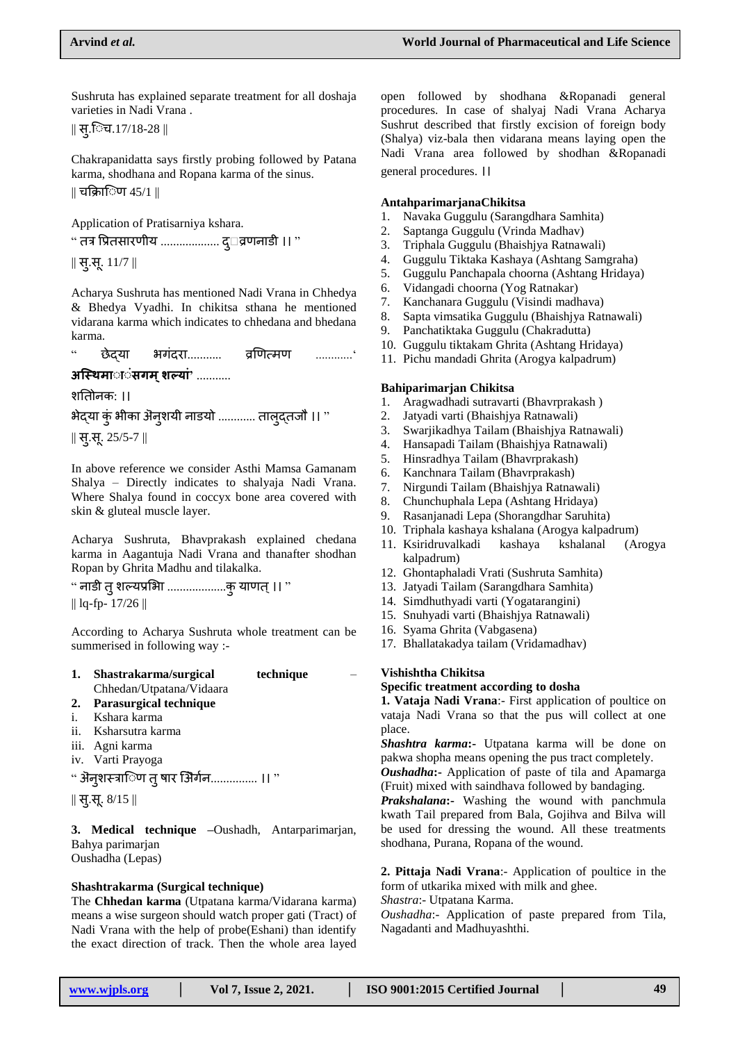Sushruta has explained separate treatment for all doshaja varieties in Nadi Vrana .

 $\parallel$  स्.िच.17/18-28  $\parallel$ 

Chakrapanidatta says firstly probing followed by Patana karma, shodhana and Ropana karma of the sinus. || चफक्ाि ण 45/1 ||

Application of Pratisarniya kshara.

 $``$  तत्र प्रितसारणीय .................... द् $\Box$ व्रणनाडी ।।  $"$ 

|| सु.स. 11/7 ||

Acharya Sushruta has mentioned Nadi Vrana in Chhedya & Bhedya Vyadhi. In chikitsa sthana he mentioned vidarana karma which indicates to chhedana and bhedana karma.

 $``$  छेदया भगंदरा............ व्रणित्मण .............

**अस्थिमाााा सगम ्शल्ा '** ...........

शयतोनक: ।।

भेद्या कुं भीका अॆन्शयी नाडयो ............ तालुद्तजौ ।। "

|| सु.स. 25/5 -7 ||

In above reference we consider Asthi Mamsa Gamanam Shalya – Directly indicates to shalyaja Nadi Vrana. Where Shalya found in coccyx bone area covered with skin & gluteal muscle layer.

Acharya Sushruta, Bhavprakash explained chedana karma in Aagantuja Nadi Vrana and thanafter shodhan Ropan by Ghrita Madhu and tilakalka.

" नाडी तुशल्यप्रलभा ...................कुयाणत्।। " || lq-fp- 17/26 ||

According to Acharya Sushruta whole treatment can be summerised in following way :-

| 1. | Shastrakarma/surgical    | technique |  |
|----|--------------------------|-----------|--|
|    | Chhedan/Utpatana/Vidaara |           |  |

## **2. Parasurgical technique**

- i. Kshara karma
- ii. Ksharsutra karma
- iii. Agni karma
- iv. Varti Prayoga

" ऄऺन्**शस्त्रािण त् षार ऄिर्गन............... ।।** "

|| सु.स. 8/15 ||

**3. Medical technique –**Oushadh, Antarparimarjan, Bahya parimarjan Oushadha (Lepas)

### **Shashtrakarma (Surgical technique)**

The **Chhedan karma** (Utpatana karma/Vidarana karma) means a wise surgeon should watch proper gati (Tract) of Nadi Vrana with the help of probe(Eshani) than identify the exact direction of track. Then the whole area layed open followed by shodhana &Ropanadi general procedures. In case of shalyaj Nadi Vrana Acharya Sushrut described that firstly excision of foreign body (Shalya) viz-bala then vidarana means laying open the Nadi Vrana area followed by shodhan &Ropanadi general procedures. ।।

#### **AntahparimarjanaChikitsa**

- 1. Navaka Guggulu (Sarangdhara Samhita)
- 2. Saptanga Guggulu (Vrinda Madhav)
- 3. Triphala Guggulu (Bhaishjya Ratnawali)
- 4. Guggulu Tiktaka Kashaya (Ashtang Samgraha)
- 5. Guggulu Panchapala choorna (Ashtang Hridaya)
- 6. Vidangadi choorna (Yog Ratnakar)
- 7. Kanchanara Guggulu (Visindi madhava)
- 8. Sapta vimsatika Guggulu (Bhaishjya Ratnawali)
- 9. Panchatiktaka Guggulu (Chakradutta)
- 10. Guggulu tiktakam Ghrita (Ashtang Hridaya)
- 11. Pichu mandadi Ghrita (Arogya kalpadrum)

#### **Bahiparimarjan Chikitsa**

- 1. Aragwadhadi sutravarti (Bhavrprakash )
- 2. Jatyadi varti (Bhaishjya Ratnawali)
- 3. Swarjikadhya Tailam (Bhaishjya Ratnawali)
- 4. Hansapadi Tailam (Bhaishjya Ratnawali)
- 5. Hinsradhya Tailam (Bhavrprakash)
- 6. Kanchnara Tailam (Bhavrprakash)
- 7. Nirgundi Tailam (Bhaishjya Ratnawali)
- 8. Chunchuphala Lepa (Ashtang Hridaya)
- 9. Rasanjanadi Lepa (Shorangdhar Saruhita)
- 10. Triphala kashaya kshalana (Arogya kalpadrum)
- 11. Ksiridruvalkadi kashaya kshalanal (Arogya kalpadrum)
- 12. Ghontaphaladi Vrati (Sushruta Samhita)
- 13. Jatyadi Tailam (Sarangdhara Samhita)
- 14. Simdhuthyadi varti (Yogatarangini)
- 15. Snuhyadi varti (Bhaishjya Ratnawali)
- 16. Syama Ghrita (Vabgasena)
- 17. Bhallatakadya tailam (Vridamadhav)

## **Vishishtha Chikitsa**

### **Specific treatment according to dosha**

**1. Vataja Nadi Vrana**:- First application of poultice on vataja Nadi Vrana so that the pus will collect at one place.

*Shashtra karma***:-** Utpatana karma will be done on pakwa shopha means opening the pus tract completely.

*Oushadha***:-** Application of paste of tila and Apamarga (Fruit) mixed with saindhava followed by bandaging.

*Prakshalana***:-** Washing the wound with panchmula kwath Tail prepared from Bala, Gojihva and Bilva will be used for dressing the wound. All these treatments shodhana, Purana, Ropana of the wound.

**2. Pittaja Nadi Vrana**:- Application of poultice in the form of utkarika mixed with milk and ghee.

*Shastra*:- Utpatana Karma.

*Oushadha*:- Application of paste prepared from Tila, Nagadanti and Madhuyashthi.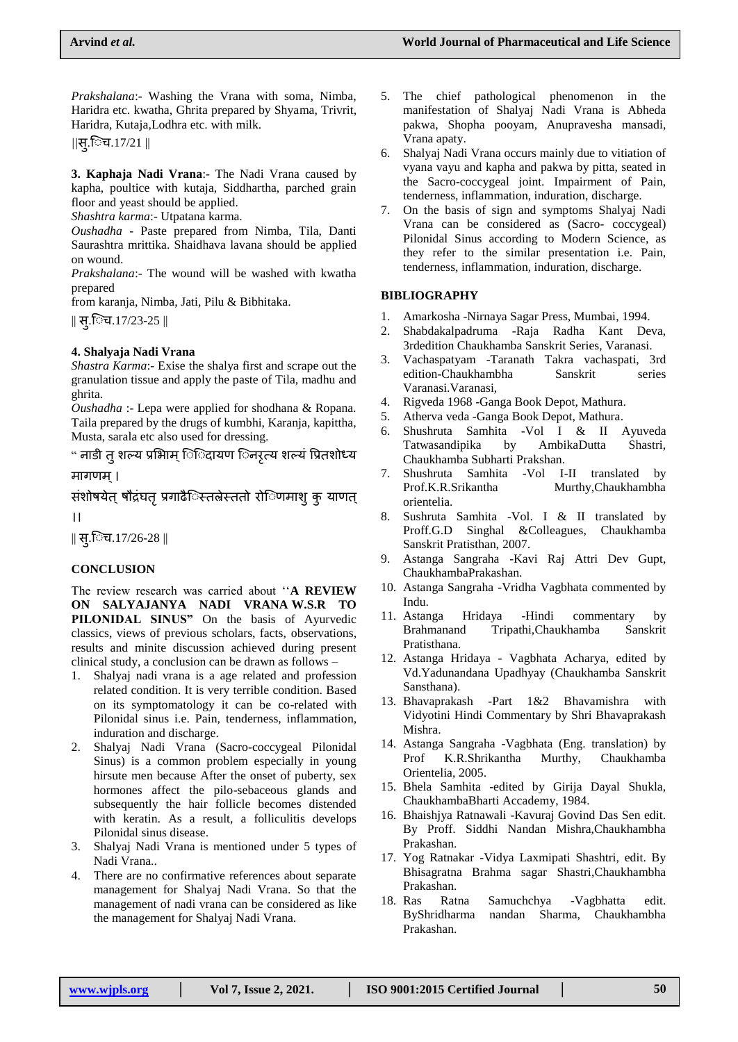*Prakshalana*:- Washing the Vrana with soma, Nimba, Haridra etc. kwatha, Ghrita prepared by Shyama, Trivrit, Haridra, Kutaja,Lodhra etc. with milk.

*||*स्.िच.17/21 ||

**3. Kaphaja Nadi Vrana**:- The Nadi Vrana caused by kapha, poultice with kutaja, Siddhartha, parched grain floor and yeast should be applied.

*Shashtra karma*:- Utpatana karma.

*Oushadha* - Paste prepared from Nimba, Tila, Danti Saurashtra mrittika. Shaidhava lavana should be applied on wound.

*Prakshalana*:- The wound will be washed with kwatha prepared

from karanja, Nimba, Jati, Pilu & Bibhitaka.

 $\parallel$  स्.िच.17/23-25  $\parallel$ 

## **4. Shalyaja Nadi Vrana**

*Shastra Karma*:- Exise the shalya first and scrape out the granulation tissue and apply the paste of Tila, madhu and ghrita.

*Oushadha* :- Lepa were applied for shodhana & Ropana. Taila prepared by the drugs of kumbhi, Karanja, kapittha, Musta, sarala etc also used for dressing.

" नाडी त शल्य प्रभािम ििदायण िनरत्य शल्यं प्रितशोध्य

मागणम ्।

संशोषयेत् षौद्रंघत् प्रगाढैिस्तल्रेस्ततो रोिणमाशु कु याणत्

।।

|| स्.िच.17/26-28 ||

## **CONCLUSION**

The review research was carried about ""**A REVIEW ON SALYAJANYA NADI VRANA W.S.R TO**  PILONIDAL SINUS" On the basis of Ayurvedic classics, views of previous scholars, facts, observations, results and minite discussion achieved during present clinical study, a conclusion can be drawn as follows –

- 1. Shalyaj nadi vrana is a age related and profession related condition. It is very terrible condition. Based on its symptomatology it can be co-related with Pilonidal sinus i.e. Pain, tenderness, inflammation, induration and discharge.
- 2. Shalyaj Nadi Vrana (Sacro-coccygeal Pilonidal Sinus) is a common problem especially in young hirsute men because After the onset of puberty, sex hormones affect the pilo-sebaceous glands and subsequently the hair follicle becomes distended with keratin. As a result, a folliculitis develops Pilonidal sinus disease.
- 3. Shalyaj Nadi Vrana is mentioned under 5 types of Nadi Vrana..
- 4. There are no confirmative references about separate management for Shalyaj Nadi Vrana. So that the management of nadi vrana can be considered as like the management for Shalyaj Nadi Vrana.
- 5. The chief pathological phenomenon in the manifestation of Shalyaj Nadi Vrana is Abheda pakwa, Shopha pooyam, Anupravesha mansadi, Vrana apaty.
- 6. Shalyaj Nadi Vrana occurs mainly due to vitiation of vyana vayu and kapha and pakwa by pitta, seated in the Sacro-coccygeal joint. Impairment of Pain, tenderness, inflammation, induration, discharge.
- 7. On the basis of sign and symptoms Shalyaj Nadi Vrana can be considered as (Sacro- coccygeal) Pilonidal Sinus according to Modern Science, as they refer to the similar presentation i.e. Pain, tenderness, inflammation, induration, discharge.

## **BIBLIOGRAPHY**

- 1. Amarkosha -Nirnaya Sagar Press, Mumbai, 1994.
- 2. Shabdakalpadruma -Raja Radha Kant Deva, 3rdedition Chaukhamba Sanskrit Series, Varanasi.
- 3. Vachaspatyam -Taranath Takra vachaspati, 3rd edition-Chaukhambha Sanskrit series Varanasi.Varanasi,
- 4. Rigveda 1968 -Ganga Book Depot, Mathura.
- 5. Atherva veda -Ganga Book Depot, Mathura.
- 6. Shushruta Samhita -Vol I & II Ayuveda Tatwasandipika by AmbikaDutta Shastri, Chaukhamba Subharti Prakshan.
- 7. Shushruta Samhita -Vol I-II translated by Prof.K.R.Srikantha Murthy,Chaukhambha orientelia.
- 8. Sushruta Samhita -Vol. I & II translated by Proff.G.D Singhal &Colleagues, Chaukhamba Sanskrit Pratisthan, 2007.
- 9. Astanga Sangraha -Kavi Raj Attri Dev Gupt, ChaukhambaPrakashan.
- 10. Astanga Sangraha -Vridha Vagbhata commented by Indu.
- 11. Astanga Hridaya -Hindi commentary by Brahmanand Tripathi,Chaukhamba Sanskrit Pratisthana.
- 12. Astanga Hridaya Vagbhata Acharya, edited by Vd.Yadunandana Upadhyay (Chaukhamba Sanskrit Sansthana).
- 13. Bhavaprakash -Part 1&2 Bhavamishra with Vidyotini Hindi Commentary by Shri Bhavaprakash Mishra.
- 14. Astanga Sangraha -Vagbhata (Eng. translation) by Prof K.R.Shrikantha Murthy, Chaukhamba Orientelia, 2005.
- 15. Bhela Samhita -edited by Girija Dayal Shukla, ChaukhambaBharti Accademy, 1984.
- 16. Bhaishjya Ratnawali -Kavuraj Govind Das Sen edit. By Proff. Siddhi Nandan Mishra,Chaukhambha Prakashan.
- 17. Yog Ratnakar -Vidya Laxmipati Shashtri, edit. By Bhisagratna Brahma sagar Shastri,Chaukhambha Prakashan.
- 18. Ras Ratna Samuchchya -Vagbhatta edit. ByShridharma nandan Sharma, Chaukhambha Prakashan.